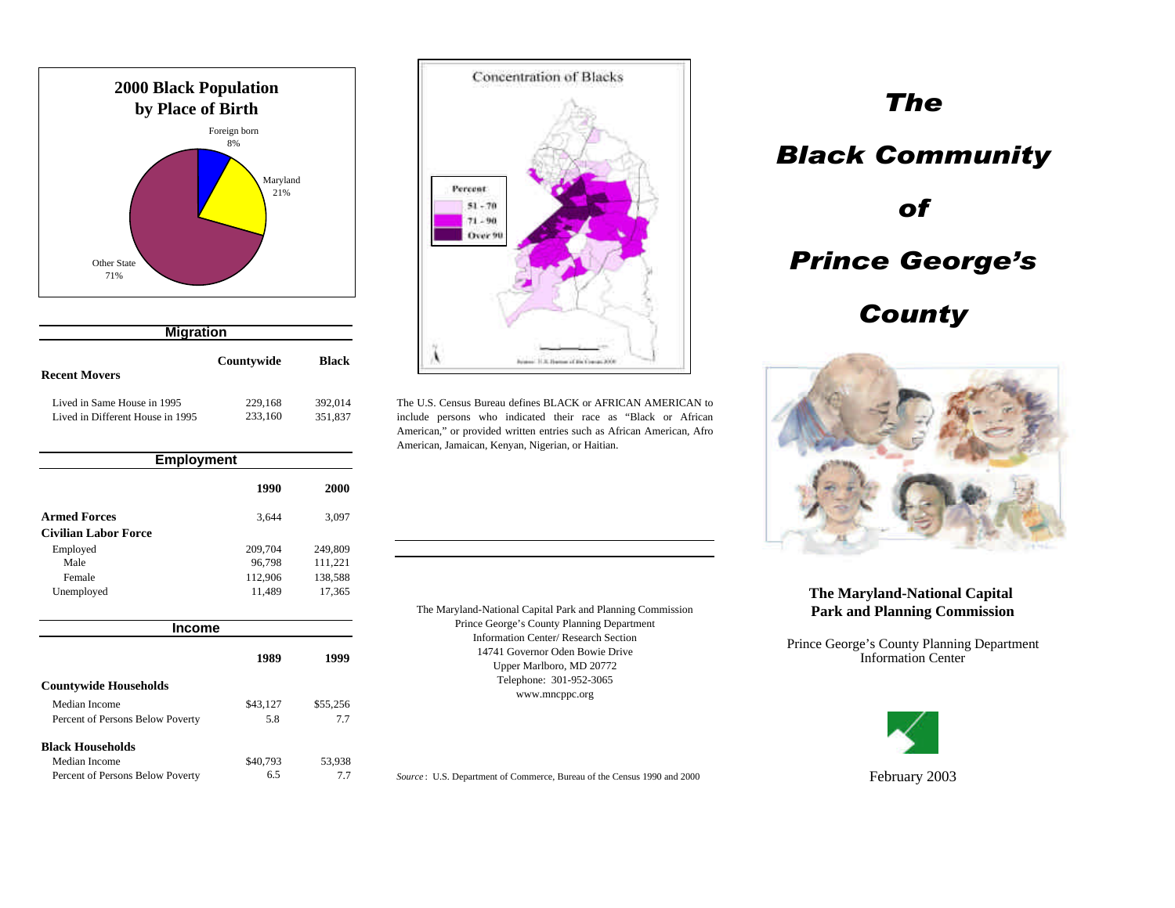

| <b>Migration</b>                 |            |         |   |
|----------------------------------|------------|---------|---|
| <b>Recent Movers</b>             | Countywide | Black   |   |
| Lived in Same House in 1995      | 229,168    | 392.014 | п |
| Lived in Different House in 1995 | 233,160    | 351,837 |   |

| <b>Employment</b>                |          |          |
|----------------------------------|----------|----------|
|                                  | 1990     | 2000     |
| <b>Armed Forces</b>              | 3,644    | 3,097    |
| <b>Civilian Labor Force</b>      |          |          |
| Employed                         | 209,704  | 249,809  |
| Male                             | 96,798   | 111,221  |
| Female                           | 112,906  | 138,588  |
| Unemployed                       | 11,489   | 17,365   |
| <b>Income</b>                    |          |          |
|                                  | 1989     | 1999     |
| <b>Countywide Households</b>     |          |          |
| Median Income                    | \$43,127 | \$55,256 |
| Percent of Persons Below Poverty | 5.8      | 7.7      |
| <b>Black Households</b>          |          |          |
| Median Income                    | \$40,793 | 53,938   |
| Percent of Persons Below Poverty | 6.5      | 7.7      |



The U.S. Census Bureau defines BLACK or AFRICAN AMERICAN to include persons who indicated their race as "Black or African American," or provided written entries such as African American, Afro American, Jamaican, Kenyan, Nigerian, or Haitian.

The Maryland-National Capital Park and Planning Commission Prince George's County Planning Department Information Center/ Research Section 14741 Governor Oden Bowie Drive Upper Marlboro, MD 20772 Telephone: 301-952-3065 www.mncppc.org

Source: U.S. Department of Commerce, Bureau of the Census 1990 and 2000

# *The Black Community of Prince George's County*



## **The Maryland-National Capital Park and Planning Commission**

Prince George's County Planning Department Information Center



February 2003